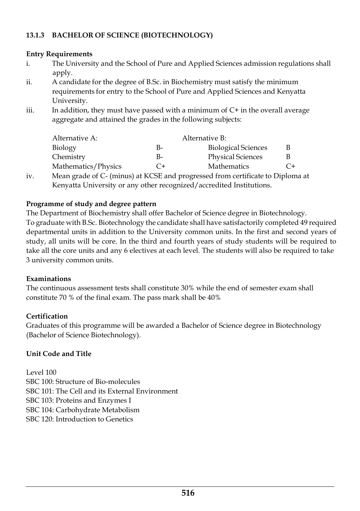# **13.1.3 BACHELOR OF SCIENCE (BIOTECHNOLOGY)**

### **Entry Requirements**

- i. The University and the School of Pure and Applied Sciences admission regulations shall apply.
- ii. A candidate for the degree of B.Sc. in Biochemistry must satisfy the minimum requirements for entry to the School of Pure and Applied Sciences and Kenyatta University.
- iii. In addition, they must have passed with a minimum of  $C+$  in the overall average aggregate and attained the grades in the following subjects:

| C+ |
|----|

iv. Mean grade of C- (minus) at KCSE and progressed from certificate to Diploma at Kenyatta University or any other recognized/accredited Institutions.

## **Programme of study and degree pattern**

The Department of Biochemistry shall offer Bachelor of Science degree in Biotechnology. To graduate with B.Sc. Biotechnology the candidate shall have satisfactorily completed 49 required departmental units in addition to the University common units. In the first and second years of study, all units will be core. In the third and fourth years of study students will be required to take all the core units and any 6 electives at each level. The students will also be required to take 3 university common units.

### **Examinations**

The continuous assessment tests shall constitute 30% while the end of semester exam shall constitute 70 % of the final exam. The pass mark shall be 40%

# **Certification**

Graduates of this programme will be awarded a Bachelor of Science degree in Biotechnology (Bachelor of Science Biotechnology).

# **Unit Code and Title**

Level 100 SBC 100: Structure of Bio-molecules SBC 101: The Cell and its External Environment SBC 103: Proteins and Enzymes I SBC 104: Carbohydrate Metabolism SBC 120: Introduction to Genetics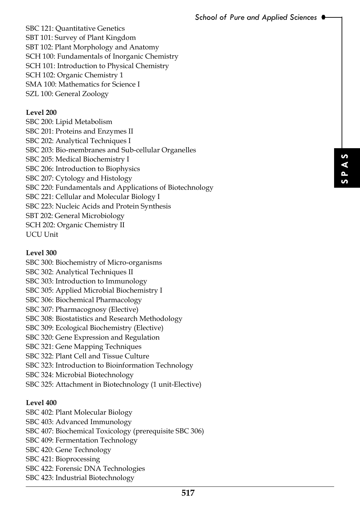SBC 121: Quantitative Genetics SBT 101: Survey of Plant Kingdom SBT 102: Plant Morphology and Anatomy SCH 100: Fundamentals of Inorganic Chemistry SCH 101: Introduction to Physical Chemistry SCH 102: Organic Chemistry 1 SMA 100: Mathematics for Science I SZL 100: General Zoology

#### **Level 200**

SBC 200: Lipid Metabolism SBC 201: Proteins and Enzymes II SBC 202: Analytical Techniques I SBC 203: Bio-membranes and Sub-cellular Organelles SBC 205: Medical Biochemistry I SBC 206: Introduction to Biophysics SBC 207: Cytology and Histology SBC 220: Fundamentals and Applications of Biotechnology SBC 221: Cellular and Molecular Biology I SBC 223: Nucleic Acids and Protein Synthesis SBT 202: General Microbiology SCH 202: Organic Chemistry II UCU Unit

#### **Level 300**

**517 SEXUAL EXECUTE:**<br> **SEXUAL EXECUTE:**<br> **SEXUAL EXECUTE:**<br> **SEXUAL EXECUTE:**<br> **SEXUAL EXECUTE:** SBC 300: Biochemistry of Micro-organisms SBC 302: Analytical Techniques II SBC 303: Introduction to Immunology SBC 305: Applied Microbial Biochemistry I SBC 306: Biochemical Pharmacology SBC 307: Pharmacognosy (Elective) SBC 308: Biostatistics and Research Methodology SBC 309: Ecological Biochemistry (Elective) SBC 320: Gene Expression and Regulation SBC 321: Gene Mapping Techniques SBC 322: Plant Cell and Tissue Culture SBC 323: Introduction to Bioinformation Technology SBC 324: Microbial Biotechnology SBC 325: Attachment in Biotechnology (1 unit-Elective)

#### **Level 400**

SBC 402: Plant Molecular Biology SBC 403: Advanced Immunology SBC 407: Biochemical Toxicology (prerequisite SBC 306) SBC 409: Fermentation Technology SBC 420: Gene Technology SBC 421: Bioprocessing SBC 422: Forensic DNA Technologies SBC 423: Industrial Biotechnology